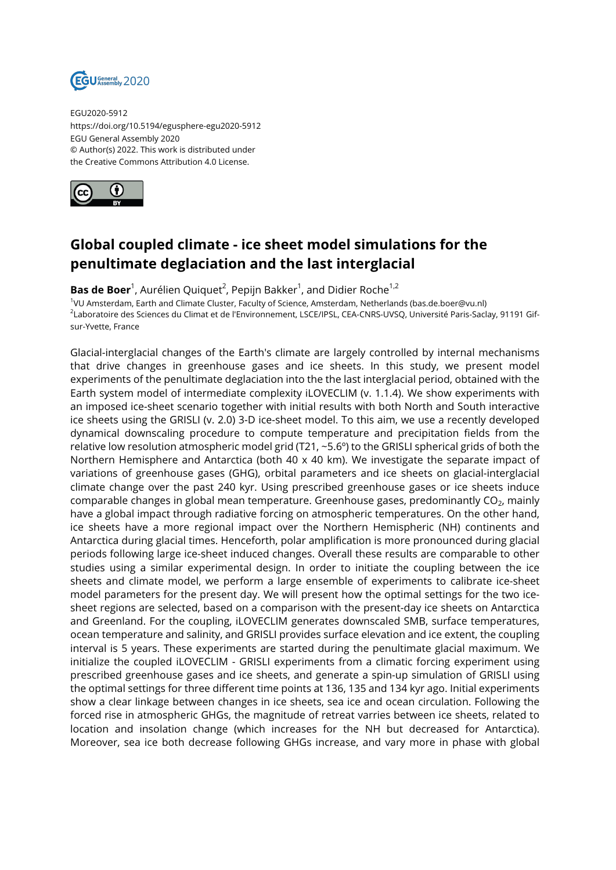

EGU2020-5912 https://doi.org/10.5194/egusphere-egu2020-5912 EGU General Assembly 2020 © Author(s) 2022. This work is distributed under the Creative Commons Attribution 4.0 License.



## **Global coupled climate - ice sheet model simulations for the penultimate deglaciation and the last interglacial**

**Bas de Boer**<sup>1</sup>, Aurélien Quiquet<sup>2</sup>, Pepijn Bakker<sup>1</sup>, and Didier Roche<sup>1,2</sup>

1 VU Amsterdam, Earth and Climate Cluster, Faculty of Science, Amsterdam, Netherlands (bas.de.boer@vu.nl) <sup>2</sup>Laboratoire des Sciences du Climat et de l'Environnement, LSCE/IPSL, CEA-CNRS-UVSQ, Université Paris-Saclay, 91191 Gifsur-Yvette, France

Glacial-interglacial changes of the Earth's climate are largely controlled by internal mechanisms that drive changes in greenhouse gases and ice sheets. In this study, we present model experiments of the penultimate deglaciation into the the last interglacial period, obtained with the Earth system model of intermediate complexity iLOVECLIM (v. 1.1.4). We show experiments with an imposed ice-sheet scenario together with initial results with both North and South interactive ice sheets using the GRISLI (v. 2.0) 3-D ice-sheet model. To this aim, we use a recently developed dynamical downscaling procedure to compute temperature and precipitation fields from the relative low resolution atmospheric model grid (T21, ~5.6º) to the GRISLI spherical grids of both the Northern Hemisphere and Antarctica (both 40 x 40 km). We investigate the separate impact of variations of greenhouse gases (GHG), orbital parameters and ice sheets on glacial-interglacial climate change over the past 240 kyr. Using prescribed greenhouse gases or ice sheets induce comparable changes in global mean temperature. Greenhouse gases, predominantly CO $_{\rm 2}$ , mainly have a global impact through radiative forcing on atmospheric temperatures. On the other hand, ice sheets have a more regional impact over the Northern Hemispheric (NH) continents and Antarctica during glacial times. Henceforth, polar amplification is more pronounced during glacial periods following large ice-sheet induced changes. Overall these results are comparable to other studies using a similar experimental design. In order to initiate the coupling between the ice sheets and climate model, we perform a large ensemble of experiments to calibrate ice-sheet model parameters for the present day. We will present how the optimal settings for the two icesheet regions are selected, based on a comparison with the present-day ice sheets on Antarctica and Greenland. For the coupling, iLOVECLIM generates downscaled SMB, surface temperatures, ocean temperature and salinity, and GRISLI provides surface elevation and ice extent, the coupling interval is 5 years. These experiments are started during the penultimate glacial maximum. We initialize the coupled iLOVECLIM - GRISLI experiments from a climatic forcing experiment using prescribed greenhouse gases and ice sheets, and generate a spin-up simulation of GRISLI using the optimal settings for three different time points at 136, 135 and 134 kyr ago. Initial experiments show a clear linkage between changes in ice sheets, sea ice and ocean circulation. Following the forced rise in atmospheric GHGs, the magnitude of retreat varries between ice sheets, related to location and insolation change (which increases for the NH but decreased for Antarctica). Moreover, sea ice both decrease following GHGs increase, and vary more in phase with global